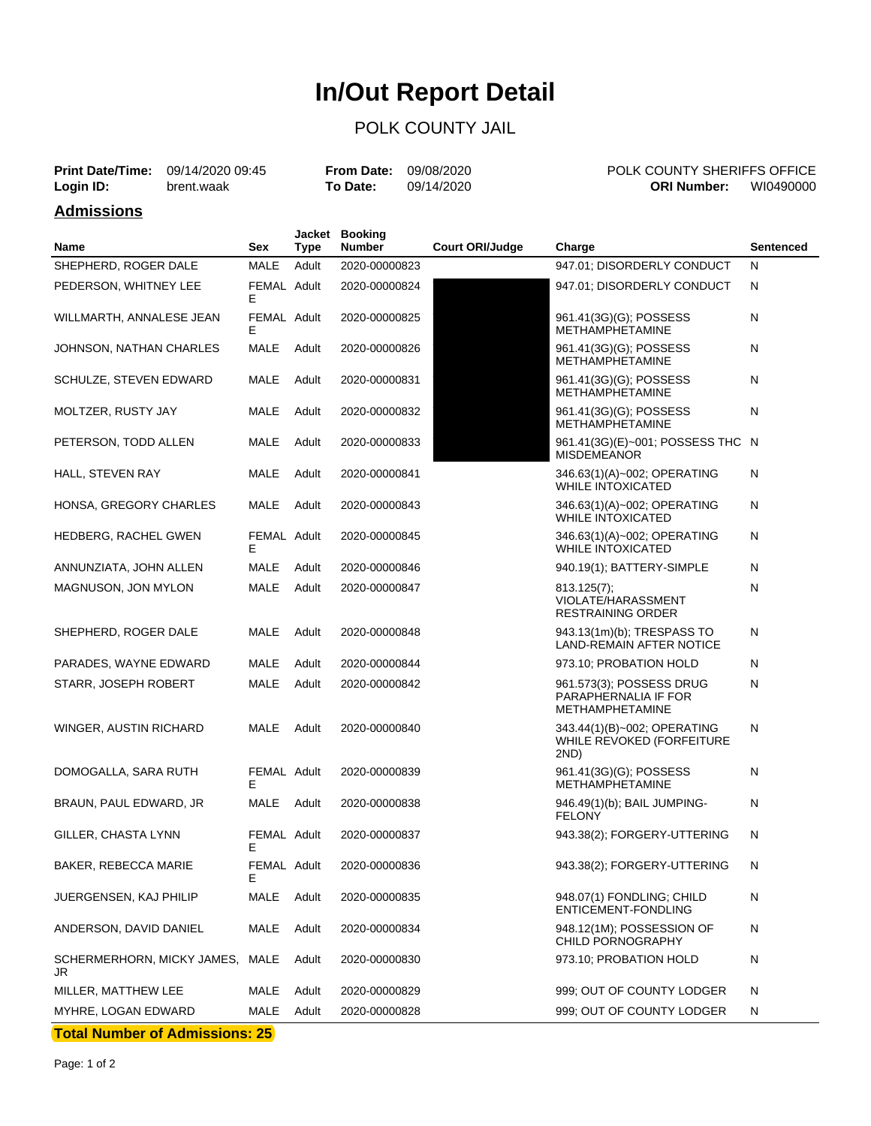# **In/Out Report Detail**

### POLK COUNTY JAIL

| <b>Print Date/Time:</b> 09/14/2020 09:45 |            | <b>From Date: 09/08/2020</b> |            | <b>POLK COUNTY SHERIFFS OFFICE</b> |           |
|------------------------------------------|------------|------------------------------|------------|------------------------------------|-----------|
| Login ID:                                | brent.waak | To Date:                     | 09/14/2020 | <b>ORI Number:</b>                 | WI0490000 |

#### **Admissions**

| Name                                  | Sex              | <b>Type</b> | Jacket Booking<br>Number | <b>Court ORI/Judge</b> | Charge                                                              | <b>Sentenced</b> |
|---------------------------------------|------------------|-------------|--------------------------|------------------------|---------------------------------------------------------------------|------------------|
| SHEPHERD, ROGER DALE                  | MALE             | Adult       | 2020-00000823            |                        | 947.01; DISORDERLY CONDUCT                                          | N                |
| PEDERSON, WHITNEY LEE                 | FEMAL Adult<br>Е |             | 2020-00000824            |                        | 947.01; DISORDERLY CONDUCT                                          | N                |
| WILLMARTH, ANNALESE JEAN              | FEMAL Adult<br>Е |             | 2020-00000825            |                        | 961.41(3G)(G); POSSESS<br>METHAMPHETAMINE                           | N                |
| JOHNSON, NATHAN CHARLES               | MALE             | Adult       | 2020-00000826            |                        | 961.41(3G)(G); POSSESS<br><b>METHAMPHETAMINE</b>                    | N                |
| SCHULZE, STEVEN EDWARD                | MALE             | Adult       | 2020-00000831            |                        | 961.41(3G)(G); POSSESS<br><b>METHAMPHETAMINE</b>                    | N                |
| MOLTZER, RUSTY JAY                    | MALE             | Adult       | 2020-00000832            |                        | 961.41(3G)(G); POSSESS<br><b>METHAMPHETAMINE</b>                    | N                |
| PETERSON, TODD ALLEN                  | MALE             | Adult       | 2020-00000833            |                        | 961.41(3G)(E)~001; POSSESS THC N<br><b>MISDEMEANOR</b>              |                  |
| HALL, STEVEN RAY                      | MALE             | Adult       | 2020-00000841            |                        | 346.63(1)(A)~002; OPERATING<br><b>WHILE INTOXICATED</b>             | N                |
| HONSA, GREGORY CHARLES                | MALE             | Adult       | 2020-00000843            |                        | 346.63(1)(A)~002; OPERATING<br><b>WHILE INTOXICATED</b>             | N                |
| HEDBERG, RACHEL GWEN                  | FEMAL Adult<br>Е |             | 2020-00000845            |                        | 346.63(1)(A)~002; OPERATING<br><b>WHILE INTOXICATED</b>             | N                |
| ANNUNZIATA, JOHN ALLEN                | MALE             | Adult       | 2020-00000846            |                        | 940.19(1); BATTERY-SIMPLE                                           | N                |
| MAGNUSON, JON MYLON                   | MALE             | Adult       | 2020-00000847            |                        | 813.125(7);<br>VIOLATE/HARASSMENT<br>RESTRAINING ORDER              | N                |
| SHEPHERD, ROGER DALE                  | MALE             | Adult       | 2020-00000848            |                        | 943.13(1m)(b); TRESPASS TO<br>LAND-REMAIN AFTER NOTICE              | N                |
| PARADES, WAYNE EDWARD                 | MALE             | Adult       | 2020-00000844            |                        | 973.10; PROBATION HOLD                                              | N                |
| STARR, JOSEPH ROBERT                  | MALE             | Adult       | 2020-00000842            |                        | 961.573(3); POSSESS DRUG<br>PARAPHERNALIA IF FOR<br>METHAMPHETAMINE | Ν                |
| WINGER, AUSTIN RICHARD                | MALE             | Adult       | 2020-00000840            |                        | 343.44(1)(B)~002; OPERATING<br>WHILE REVOKED (FORFEITURE<br>2ND)    | N                |
| DOMOGALLA, SARA RUTH                  | FEMAL Adult<br>Е |             | 2020-00000839            |                        | 961.41(3G)(G); POSSESS<br><b>METHAMPHETAMINE</b>                    | N                |
| BRAUN, PAUL EDWARD, JR                | MALE             | Adult       | 2020-00000838            |                        | 946.49(1)(b); BAIL JUMPING-<br><b>FELONY</b>                        | N                |
| GILLER, CHASTA LYNN                   | FEMAL Adult<br>Е |             | 2020-00000837            |                        | 943.38(2); FORGERY-UTTERING                                         | N                |
| BAKER, REBECCA MARIE                  | FEMAL Adult<br>Е |             | 2020-00000836            |                        | 943.38(2); FORGERY-UTTERING                                         | N                |
| JUERGENSEN, KAJ PHILIP                | MALE             | Adult       | 2020-00000835            |                        | 948.07(1) FONDLING; CHILD<br>ENTICEMENT-FONDLING                    | N                |
| ANDERSON, DAVID DANIEL                | MALE             | Adult       | 2020-00000834            |                        | 948.12(1M); POSSESSION OF<br>CHILD PORNOGRAPHY                      | N                |
| SCHERMERHORN, MICKY JAMES, MALE<br>JR |                  | Adult       | 2020-00000830            |                        | 973.10; PROBATION HOLD                                              | N                |
| MILLER, MATTHEW LEE                   | MALE             | Adult       | 2020-00000829            |                        | 999; OUT OF COUNTY LODGER                                           | N                |
| MYHRE, LOGAN EDWARD                   | MALE             | Adult       | 2020-00000828            |                        | 999; OUT OF COUNTY LODGER                                           | N                |

**Total Number of Admissions: 25**